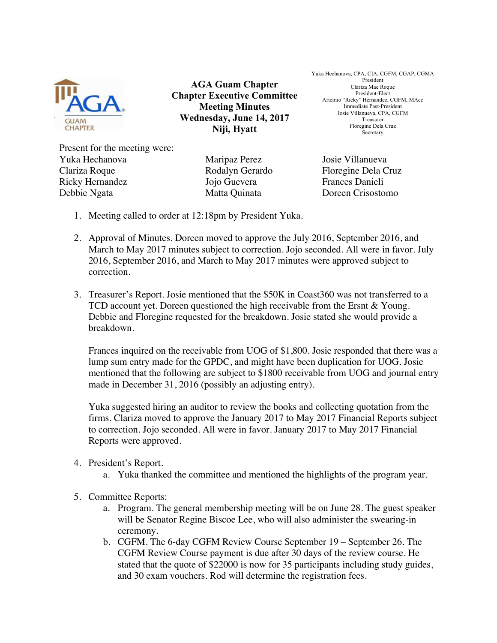

**AGA Guam Chapter Chapter Executive Committee Meeting Minutes Wednesday, June 14, 2017 Niji, Hyatt**

Yuka Hechanova, CPA, CIA, CGFM, CGAP, CGMA President Clariza Mae Roque President-Elect Artemio "Ricky" Hernandez, CGFM, MAcc Immediate Past-President Josie Villanueva, CPA, CGFM Treasurer Floregine Dela Cruz Secretary

Present for the meeting were: Yuka Hechanova Maripaz Perez Josie Villanueva Clariza Roque Rodalyn Gerardo Floregine Dela Cruz Ricky Hernandez Jojo Guevera Frances Danieli Debbie Ngata Matta Quinata Doreen Crisostomo

- 1. Meeting called to order at 12:18pm by President Yuka.
- 2. Approval of Minutes. Doreen moved to approve the July 2016, September 2016, and March to May 2017 minutes subject to correction. Jojo seconded. All were in favor. July 2016, September 2016, and March to May 2017 minutes were approved subject to correction.
- 3. Treasurer's Report. Josie mentioned that the \$50K in Coast360 was not transferred to a TCD account yet. Doreen questioned the high receivable from the Ersnt & Young. Debbie and Floregine requested for the breakdown. Josie stated she would provide a breakdown.

Frances inquired on the receivable from UOG of \$1,800. Josie responded that there was a lump sum entry made for the GPDC, and might have been duplication for UOG. Josie mentioned that the following are subject to \$1800 receivable from UOG and journal entry made in December 31, 2016 (possibly an adjusting entry).

Yuka suggested hiring an auditor to review the books and collecting quotation from the firms. Clariza moved to approve the January 2017 to May 2017 Financial Reports subject to correction. Jojo seconded. All were in favor. January 2017 to May 2017 Financial Reports were approved.

## 4. President's Report.

- a. Yuka thanked the committee and mentioned the highlights of the program year.
- 5. Committee Reports:
	- a. Program. The general membership meeting will be on June 28. The guest speaker will be Senator Regine Biscoe Lee, who will also administer the swearing-in ceremony.
	- b. CGFM. The 6-day CGFM Review Course September 19 September 26. The CGFM Review Course payment is due after 30 days of the review course. He stated that the quote of \$22000 is now for 35 participants including study guides, and 30 exam vouchers. Rod will determine the registration fees.